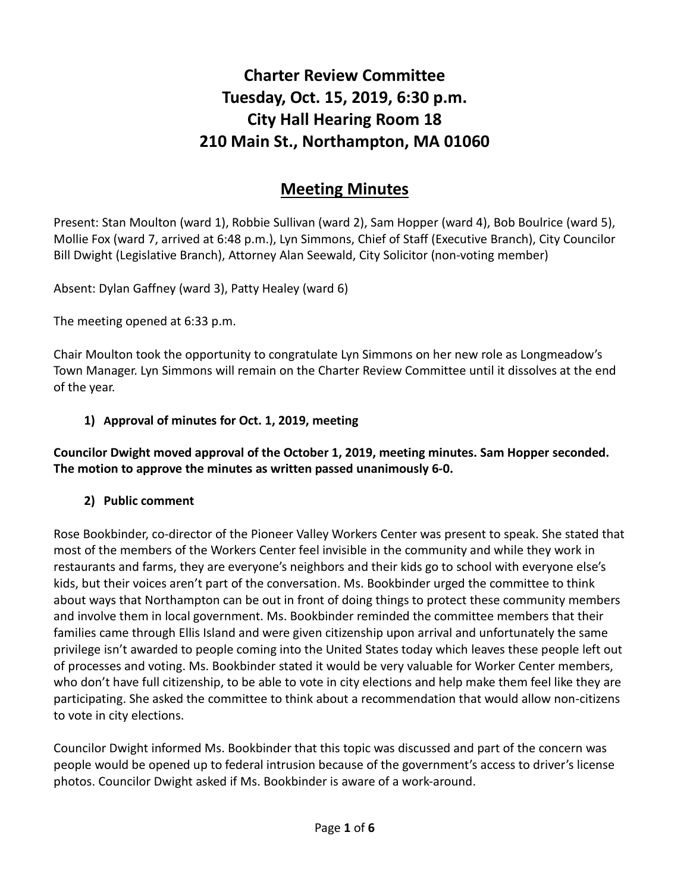# **Charter Review Committee Tuesday, Oct. 15, 2019, 6:30 p.m. City Hall Hearing Room 18 210 Main St., Northampton, MA 01060**

# **Meeting Minutes**

Present: Stan Moulton (ward 1), Robbie Sullivan (ward 2), Sam Hopper (ward 4), Bob Boulrice (ward 5), Mollie Fox (ward 7, arrived at 6:48 p.m.), Lyn Simmons, Chief of Staff (Executive Branch), City Councilor Bill Dwight (Legislative Branch), Attorney Alan Seewald, City Solicitor (non-voting member)

Absent: Dylan Gaffney (ward 3), Patty Healey (ward 6)

The meeting opened at 6:33 p.m.

Chair Moulton took the opportunity to congratulate Lyn Simmons on her new role as Longmeadow's Town Manager. Lyn Simmons will remain on the Charter Review Committee until it dissolves at the end of the year.

#### **1) Approval of minutes for Oct. 1, 2019, meeting**

#### **Councilor Dwight moved approval of the October 1, 2019, meeting minutes. Sam Hopper seconded. The motion to approve the minutes as written passed unanimously 6-0.**

#### **2) Public comment**

Rose Bookbinder, co-director of the Pioneer Valley Workers Center was present to speak. She stated that most of the members of the Workers Center feel invisible in the community and while they work in restaurants and farms, they are everyone's neighbors and their kids go to school with everyone else's kids, but their voices aren't part of the conversation. Ms. Bookbinder urged the committee to think about ways that Northampton can be out in front of doing things to protect these community members and involve them in local government. Ms. Bookbinder reminded the committee members that their families came through Ellis Island and were given citizenship upon arrival and unfortunately the same privilege isn't awarded to people coming into the United States today which leaves these people left out of processes and voting. Ms. Bookbinder stated it would be very valuable for Worker Center members, who don't have full citizenship, to be able to vote in city elections and help make them feel like they are participating. She asked the committee to think about a recommendation that would allow non-citizens to vote in city elections.

Councilor Dwight informed Ms. Bookbinder that this topic was discussed and part of the concern was people would be opened up to federal intrusion because of the government's access to driver's license photos. Councilor Dwight asked if Ms. Bookbinder is aware of a work-around.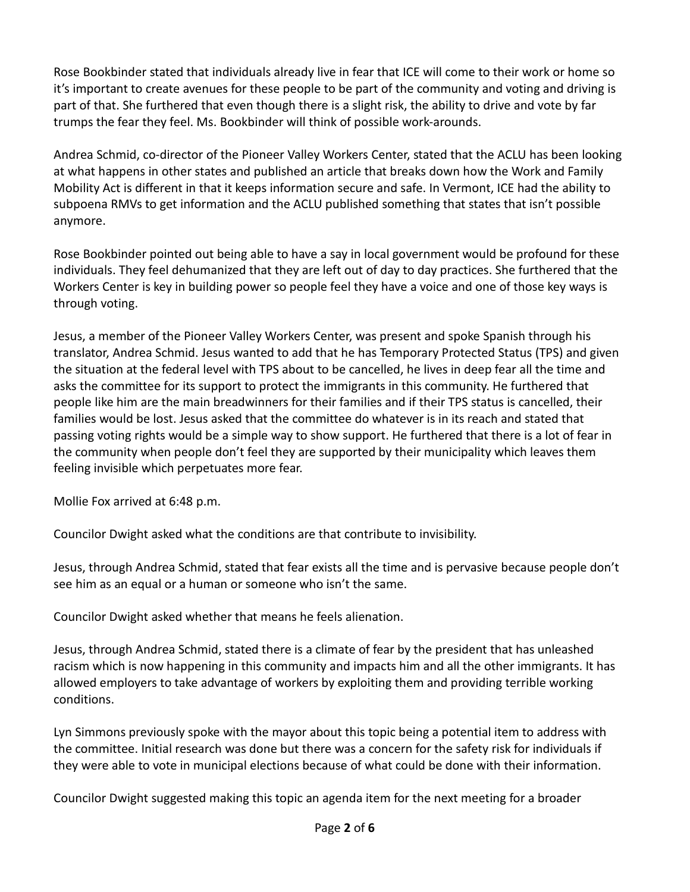Rose Bookbinder stated that individuals already live in fear that ICE will come to their work or home so it's important to create avenues for these people to be part of the community and voting and driving is part of that. She furthered that even though there is a slight risk, the ability to drive and vote by far trumps the fear they feel. Ms. Bookbinder will think of possible work-arounds.

Andrea Schmid, co-director of the Pioneer Valley Workers Center, stated that the ACLU has been looking at what happens in other states and published an article that breaks down how the Work and Family Mobility Act is different in that it keeps information secure and safe. In Vermont, ICE had the ability to subpoena RMVs to get information and the ACLU published something that states that isn't possible anymore.

Rose Bookbinder pointed out being able to have a say in local government would be profound for these individuals. They feel dehumanized that they are left out of day to day practices. She furthered that the Workers Center is key in building power so people feel they have a voice and one of those key ways is through voting.

Jesus, a member of the Pioneer Valley Workers Center, was present and spoke Spanish through his translator, Andrea Schmid. Jesus wanted to add that he has Temporary Protected Status (TPS) and given the situation at the federal level with TPS about to be cancelled, he lives in deep fear all the time and asks the committee for its support to protect the immigrants in this community. He furthered that people like him are the main breadwinners for their families and if their TPS status is cancelled, their families would be lost. Jesus asked that the committee do whatever is in its reach and stated that passing voting rights would be a simple way to show support. He furthered that there is a lot of fear in the community when people don't feel they are supported by their municipality which leaves them feeling invisible which perpetuates more fear.

Mollie Fox arrived at 6:48 p.m.

Councilor Dwight asked what the conditions are that contribute to invisibility.

Jesus, through Andrea Schmid, stated that fear exists all the time and is pervasive because people don't see him as an equal or a human or someone who isn't the same.

Councilor Dwight asked whether that means he feels alienation.

Jesus, through Andrea Schmid, stated there is a climate of fear by the president that has unleashed racism which is now happening in this community and impacts him and all the other immigrants. It has allowed employers to take advantage of workers by exploiting them and providing terrible working conditions.

Lyn Simmons previously spoke with the mayor about this topic being a potential item to address with the committee. Initial research was done but there was a concern for the safety risk for individuals if they were able to vote in municipal elections because of what could be done with their information.

Councilor Dwight suggested making this topic an agenda item for the next meeting for a broader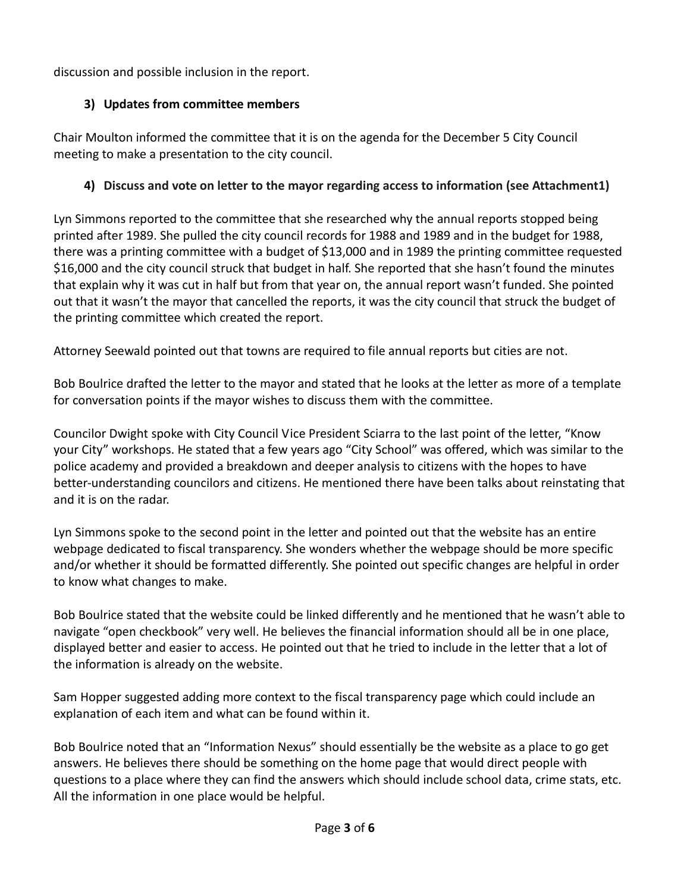discussion and possible inclusion in the report.

# **3) Updates from committee members**

Chair Moulton informed the committee that it is on the agenda for the December 5 City Council meeting to make a presentation to the city council.

# **4) Discuss and vote on letter to the mayor regarding access to information (see Attachment1)**

Lyn Simmons reported to the committee that she researched why the annual reports stopped being printed after 1989. She pulled the city council records for 1988 and 1989 and in the budget for 1988, there was a printing committee with a budget of \$13,000 and in 1989 the printing committee requested \$16,000 and the city council struck that budget in half. She reported that she hasn't found the minutes that explain why it was cut in half but from that year on, the annual report wasn't funded. She pointed out that it wasn't the mayor that cancelled the reports, it was the city council that struck the budget of the printing committee which created the report.

Attorney Seewald pointed out that towns are required to file annual reports but cities are not.

Bob Boulrice drafted the letter to the mayor and stated that he looks at the letter as more of a template for conversation points if the mayor wishes to discuss them with the committee.

Councilor Dwight spoke with City Council Vice President Sciarra to the last point of the letter, "Know your City" workshops. He stated that a few years ago "City School" was offered, which was similar to the police academy and provided a breakdown and deeper analysis to citizens with the hopes to have better-understanding councilors and citizens. He mentioned there have been talks about reinstating that and it is on the radar.

Lyn Simmons spoke to the second point in the letter and pointed out that the website has an entire webpage dedicated to fiscal transparency. She wonders whether the webpage should be more specific and/or whether it should be formatted differently. She pointed out specific changes are helpful in order to know what changes to make.

Bob Boulrice stated that the website could be linked differently and he mentioned that he wasn't able to navigate "open checkbook" very well. He believes the financial information should all be in one place, displayed better and easier to access. He pointed out that he tried to include in the letter that a lot of the information is already on the website.

Sam Hopper suggested adding more context to the fiscal transparency page which could include an explanation of each item and what can be found within it.

Bob Boulrice noted that an "Information Nexus" should essentially be the website as a place to go get answers. He believes there should be something on the home page that would direct people with questions to a place where they can find the answers which should include school data, crime stats, etc. All the information in one place would be helpful.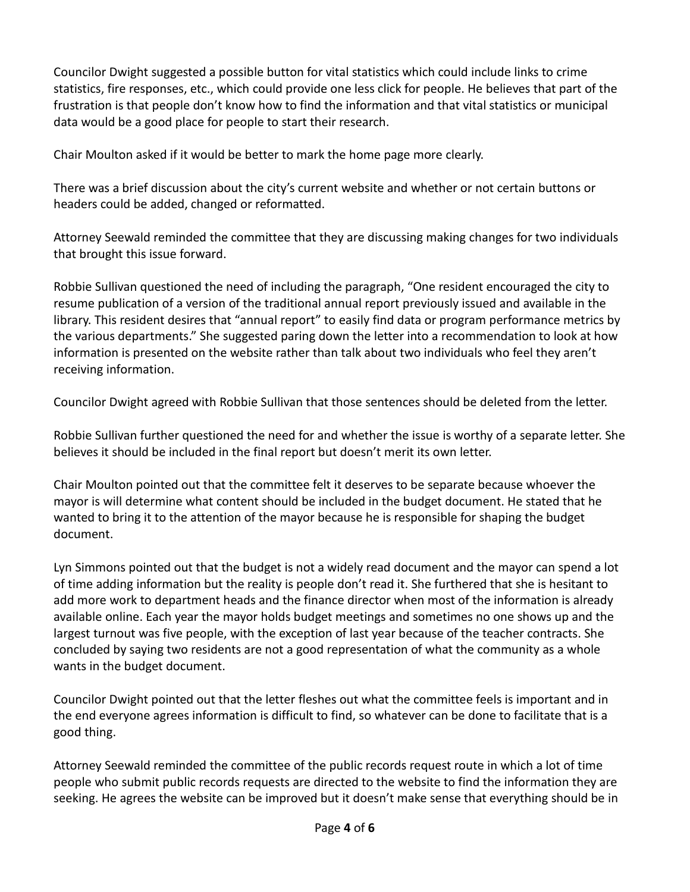Councilor Dwight suggested a possible button for vital statistics which could include links to crime statistics, fire responses, etc., which could provide one less click for people. He believes that part of the frustration is that people don't know how to find the information and that vital statistics or municipal data would be a good place for people to start their research.

Chair Moulton asked if it would be better to mark the home page more clearly.

There was a brief discussion about the city's current website and whether or not certain buttons or headers could be added, changed or reformatted.

Attorney Seewald reminded the committee that they are discussing making changes for two individuals that brought this issue forward.

Robbie Sullivan questioned the need of including the paragraph, "One resident encouraged the city to resume publication of a version of the traditional annual report previously issued and available in the library. This resident desires that "annual report" to easily find data or program performance metrics by the various departments." She suggested paring down the letter into a recommendation to look at how information is presented on the website rather than talk about two individuals who feel they aren't receiving information.

Councilor Dwight agreed with Robbie Sullivan that those sentences should be deleted from the letter.

Robbie Sullivan further questioned the need for and whether the issue is worthy of a separate letter. She believes it should be included in the final report but doesn't merit its own letter.

Chair Moulton pointed out that the committee felt it deserves to be separate because whoever the mayor is will determine what content should be included in the budget document. He stated that he wanted to bring it to the attention of the mayor because he is responsible for shaping the budget document.

Lyn Simmons pointed out that the budget is not a widely read document and the mayor can spend a lot of time adding information but the reality is people don't read it. She furthered that she is hesitant to add more work to department heads and the finance director when most of the information is already available online. Each year the mayor holds budget meetings and sometimes no one shows up and the largest turnout was five people, with the exception of last year because of the teacher contracts. She concluded by saying two residents are not a good representation of what the community as a whole wants in the budget document.

Councilor Dwight pointed out that the letter fleshes out what the committee feels is important and in the end everyone agrees information is difficult to find, so whatever can be done to facilitate that is a good thing.

Attorney Seewald reminded the committee of the public records request route in which a lot of time people who submit public records requests are directed to the website to find the information they are seeking. He agrees the website can be improved but it doesn't make sense that everything should be in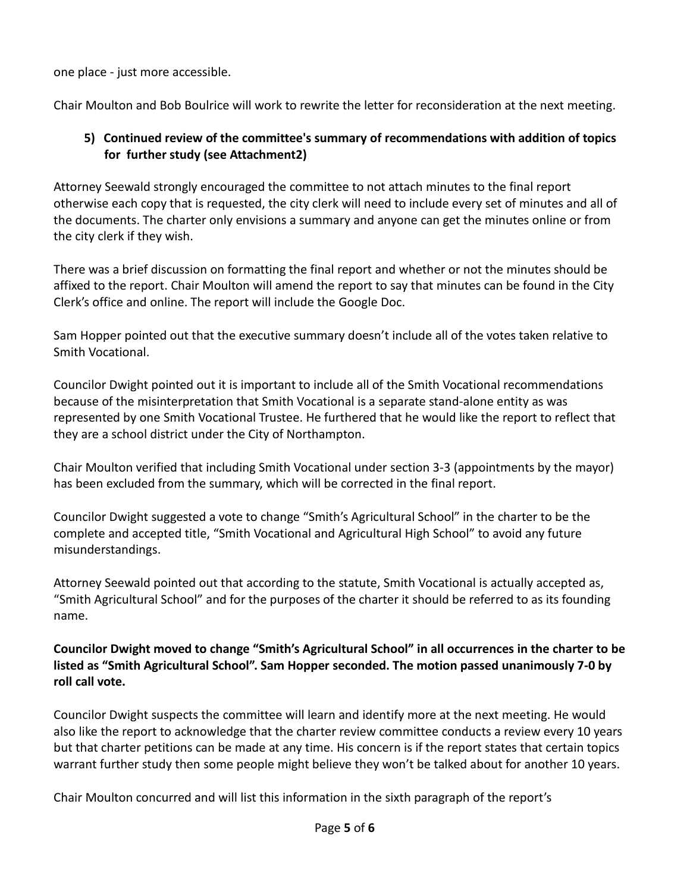one place - just more accessible.

Chair Moulton and Bob Boulrice will work to rewrite the letter for reconsideration at the next meeting.

#### **5) Continued review of the committee's summary of recommendations with addition of topics for further study (see Attachment2)**

Attorney Seewald strongly encouraged the committee to not attach minutes to the final report otherwise each copy that is requested, the city clerk will need to include every set of minutes and all of the documents. The charter only envisions a summary and anyone can get the minutes online or from the city clerk if they wish.

There was a brief discussion on formatting the final report and whether or not the minutes should be affixed to the report. Chair Moulton will amend the report to say that minutes can be found in the City Clerk's office and online. The report will include the Google Doc.

Sam Hopper pointed out that the executive summary doesn't include all of the votes taken relative to Smith Vocational.

Councilor Dwight pointed out it is important to include all of the Smith Vocational recommendations because of the misinterpretation that Smith Vocational is a separate stand-alone entity as was represented by one Smith Vocational Trustee. He furthered that he would like the report to reflect that they are a school district under the City of Northampton.

Chair Moulton verified that including Smith Vocational under section 3-3 (appointments by the mayor) has been excluded from the summary, which will be corrected in the final report.

Councilor Dwight suggested a vote to change "Smith's Agricultural School" in the charter to be the complete and accepted title, "Smith Vocational and Agricultural High School" to avoid any future misunderstandings.

Attorney Seewald pointed out that according to the statute, Smith Vocational is actually accepted as, "Smith Agricultural School" and for the purposes of the charter it should be referred to as its founding name.

**Councilor Dwight moved to change "Smith's Agricultural School" in all occurrences in the charter to be listed as "Smith Agricultural School". Sam Hopper seconded. The motion passed unanimously 7-0 by roll call vote.**

Councilor Dwight suspects the committee will learn and identify more at the next meeting. He would also like the report to acknowledge that the charter review committee conducts a review every 10 years but that charter petitions can be made at any time. His concern is if the report states that certain topics warrant further study then some people might believe they won't be talked about for another 10 years.

Chair Moulton concurred and will list this information in the sixth paragraph of the report's